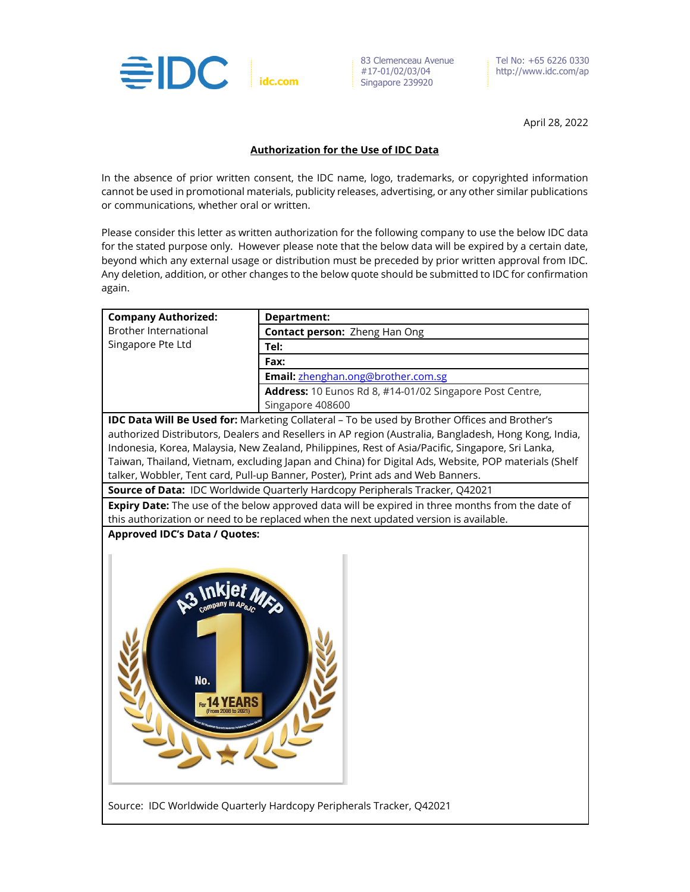

83 Clemenceau Avenue #17-01/02/03/04  $\frac{17}{2}$  Singapore 239920

Tel No: +65 6226 0330 http://www.idc.com/ap

April 28, 2022

## **Authorization for the Use of IDC Data**

In the absence of prior written consent, the IDC name, logo, trademarks, or copyrighted information cannot be used in promotional materials, publicity releases, advertising, or any other similar publications or communications, whether oral or written.

Please consider this letter as written authorization for the following company to use the below IDC data for the stated purpose only. However please note that the below data will be expired by a certain date, beyond which any external usage or distribution must be preceded by prior written approval from IDC. Any deletion, addition, or other changes to the below quote should be submitted to IDC for confirmation again.

| <b>Company Authorized:</b>                                                                           | <b>Department:</b>                                                                                    |
|------------------------------------------------------------------------------------------------------|-------------------------------------------------------------------------------------------------------|
| <b>Brother International</b>                                                                         | <b>Contact person: Zheng Han Ong</b>                                                                  |
| Singapore Pte Ltd                                                                                    | Tel:                                                                                                  |
|                                                                                                      | Fax:                                                                                                  |
|                                                                                                      | Email: zhenghan.ong@brother.com.sg                                                                    |
|                                                                                                      | Address: 10 Eunos Rd 8, #14-01/02 Singapore Post Centre,                                              |
|                                                                                                      | Singapore 408600                                                                                      |
| IDC Data Will Be Used for: Marketing Collateral - To be used by Brother Offices and Brother's        |                                                                                                       |
|                                                                                                      | authorized Distributors, Dealers and Resellers in AP region (Australia, Bangladesh, Hong Kong, India, |
|                                                                                                      | Indonesia, Korea, Malaysia, New Zealand, Philippines, Rest of Asia/Pacific, Singapore, Sri Lanka,     |
| Taiwan, Thailand, Vietnam, excluding Japan and China) for Digital Ads, Website, POP materials (Shelf |                                                                                                       |
|                                                                                                      | talker, Wobbler, Tent card, Pull-up Banner, Poster), Print ads and Web Banners.                       |
| Source of Data: IDC Worldwide Quarterly Hardcopy Peripherals Tracker, Q42021                         |                                                                                                       |
| Expiry Date: The use of the below approved data will be expired in three months from the date of     |                                                                                                       |
|                                                                                                      | this authorization or need to be replaced when the next updated version is available.                 |
| <b>Approved IDC's Data / Quotes:</b>                                                                 |                                                                                                       |
| No.<br>For 14 YEARS                                                                                  |                                                                                                       |
| Source: IDC Worldwide Quarterly Hardcopy Peripherals Tracker, Q42021                                 |                                                                                                       |